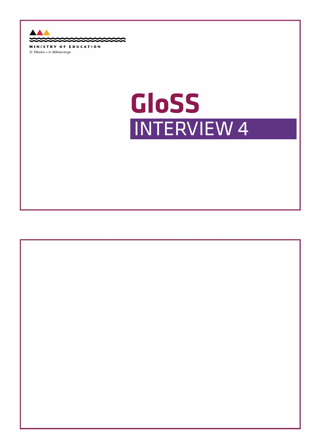▲  $\sim$ e ≏ ◠ MINISTRY OF EDUCATION

Te Tāhuhu o te Mātauranga

## **GLoSS GloSS**INTERVIEW 4

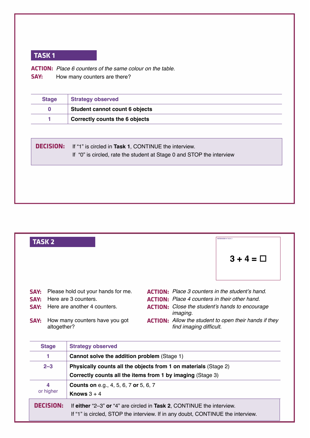**actIon:** *Place 6 counters of the same colour on the table.* **SAY:** How many counters are there?

| <b>Stage</b>     | <b>Strategy observed</b>                                              |
|------------------|-----------------------------------------------------------------------|
| $\bf{0}$         | Student cannot count 6 objects                                        |
|                  | <b>Correctly counts the 6 objects</b>                                 |
|                  |                                                                       |
| <b>DECISION:</b> | If "1" is circled in Task 1, CONTINUE the interview.                  |
|                  | If "0" is circled, rate the student at Stage 0 and STOP the interview |
|                  |                                                                       |
|                  |                                                                       |
|                  |                                                                       |
|                  |                                                                       |



| <b>Stage</b>     | Strategy opserved                                                                                                                                        |
|------------------|----------------------------------------------------------------------------------------------------------------------------------------------------------|
|                  | <b>Cannot solve the addition problem (Stage 1)</b>                                                                                                       |
| $2 - 3$          | Physically counts all the objects from 1 on materials (Stage 2)                                                                                          |
|                  | Correctly counts all the items from 1 by imaging (Stage 3)                                                                                               |
| 4                | <b>Counts on</b> e.g., 4, 5, 6, 7 or 5, 6, 7                                                                                                             |
| or higher        | Knows $3+4$                                                                                                                                              |
| <b>DECISION:</b> | If either "2-3" or "4" are circled in Task 2, CONTINUE the interview.<br>If "1" is circled, STOP the interview. If in any doubt, CONTINUE the interview. |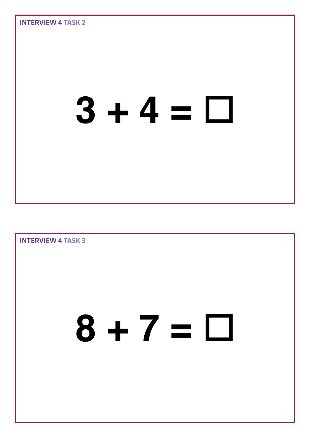

Interview 4 **Task 3 8 + 7 =**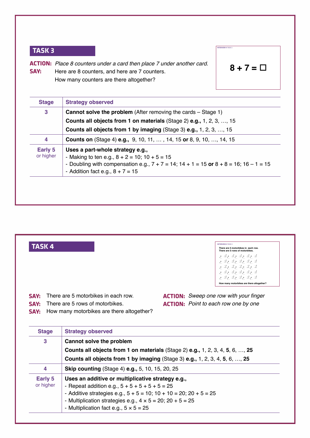**actIon:** *Place 8 counters under a card then place 7 under another card.* **Say:** Here are 8 counters, and here are 7 counters. How many counters are there altogether?

$$
8 + 7 = \square
$$

IntervIew 4 **taSk 3**

| <b>Stage</b>                | <b>Strategy observed</b>                                                                                                                                                                  |  |  |
|-----------------------------|-------------------------------------------------------------------------------------------------------------------------------------------------------------------------------------------|--|--|
| 3                           | <b>Cannot solve the problem</b> (After removing the cards – Stage 1)                                                                                                                      |  |  |
|                             | <b>Counts all objects from 1 on materials (Stage 2) e.g., 1, 2, 3, , 15</b>                                                                                                               |  |  |
|                             | Counts all objects from 1 by imaging (Stage 3) e.g., 1, 2, 3, , 15                                                                                                                        |  |  |
| 4                           | <b>Counts on</b> (Stage 4) <b>e.g.,</b> 9, 10, 11, , 14, 15 or 8, 9, 10, , 14, 15                                                                                                         |  |  |
| <b>Early 5</b><br>or higher | Uses a part-whole strategy e.g.,<br>- Making to ten e.g., $8 + 2 = 10$ ; $10 + 5 = 15$<br>- Doubling with compensation e.g., $7 + 7 = 14$ ; $14 + 1 = 15$ or $8 + 8 = 16$ ; $16 - 1 = 15$ |  |  |
|                             | - Addition fact e.g., $8 + 7 = 15$                                                                                                                                                        |  |  |



- Multiplication fact e.g.,  $5 \times 5 = 25$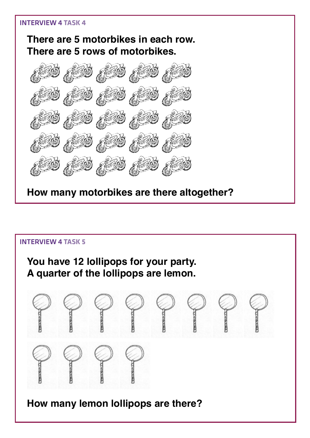#### **There are 5 motorbikes in each row. There are 5 rows of motorbikes.**



**How many motorbikes are there altogether?**

# Interview 4 **Task 5 You have 12 lollipops for your party. A quarter of the lollipops are lemon. How many lemon lollipops are there?**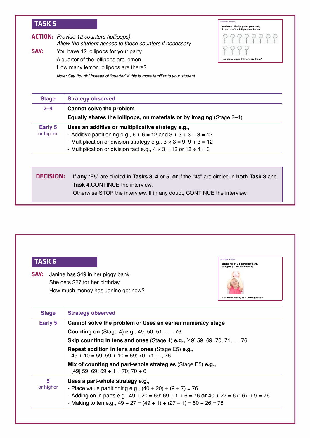|      | <b>ACTION:</b> Provide 12 counters (lollipops).<br>Allow the student access to these counters if necessary. |
|------|-------------------------------------------------------------------------------------------------------------|
| SAY: | You have 12 lollipops for your party.                                                                       |
|      | A quarter of the lollipops are lemon.                                                                       |
|      | How many lemon lollipops are there?                                                                         |

*Note: Say "fourth" instead of "quarter" if this is more familiar to your student.*

| <b>Stage</b>     | <b>Strategy observed</b>                                                                  |
|------------------|-------------------------------------------------------------------------------------------|
| $2 - 4$          | Cannot solve the problem                                                                  |
|                  | Equally shares the lollipops, on materials or by imaging (Stage 2–4)                      |
| Early 5          | Uses an additive or multiplicative strategy e.g.,                                         |
| or higher        | - Additive partitioning e.g., $6 + 6 = 12$ and $3 + 3 + 3 + 3 = 12$                       |
|                  | - Multiplication or division strategy e.g., $3 \times 3 = 9$ ; $9 + 3 = 12$               |
|                  | - Multiplication or division fact e.g., $4 \times 3 = 12$ or $12 \div 4 = 3$              |
|                  |                                                                                           |
| <b>DECISION:</b> | If any "E5" are circled in Tasks 3, 4 or 5, or if the "4s" are circled in both Task 3 and |
|                  | <b>Task 4. CONTINUE the interview.</b>                                                    |

#### **taSk 6**

**Say:** Janine has \$49 in her piggy bank. She gets \$27 for her birthday. How much money has Janine got now?



IntervIew 4 **taSk 5**

**You have 12 lollipops for your party. A quarter of the lollipops are lemon.** 

 $P$ 

P  $P$ 

PP

**How many lemon lollipops are there?** 

| <b>Stage</b>   | <b>Strategy observed</b>                                                                                                                                                                                                                                                   |
|----------------|----------------------------------------------------------------------------------------------------------------------------------------------------------------------------------------------------------------------------------------------------------------------------|
| Early 5        | Cannot solve the problem or Uses an earlier numeracy stage                                                                                                                                                                                                                 |
|                | <b>Counting on</b> (Stage 4) <b>e.g., 49, 50, 51, , 76</b>                                                                                                                                                                                                                 |
|                | <b>Skip counting in tens and ones (Stage 4) e.g., [49] 59, 69, 70, 71, , 76</b>                                                                                                                                                                                            |
|                | Repeat addition in tens and ones (Stage E5) e.g.,<br>$49 + 10 = 59$ ; $59 + 10 = 69$ ; 70, 71, , 76                                                                                                                                                                        |
|                | Mix of counting and part-whole strategies (Stage E5) e.g.,<br>$[49]$ 59, 69; 69 + 1 = 70; 70 + 6                                                                                                                                                                           |
| 5<br>or higher | Uses a part-whole strategy e.g.,<br>- Place value partitioning e.g., $(40 + 20) + (9 + 7) = 76$<br>- Adding on in parts e.g., $49 + 20 = 69$ ; $69 + 1 + 6 = 76$ or $40 + 27 = 67$ ; $67 + 9 = 76$<br>- Making to ten e.g., $49 + 27 = (49 + 1) + (27 - 1) = 50 + 26 = 76$ |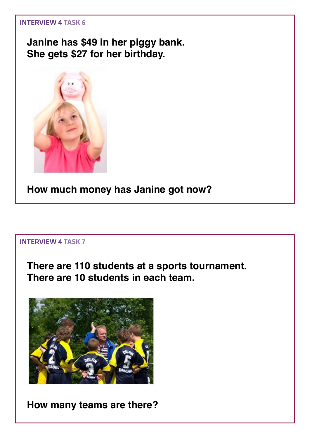**Janine has \$49 in her piggy bank. She gets \$27 for her birthday.**



**How much money has Janine got now?**

#### Interview 4 **Task 7**

**There are 110 students at a sports tournament. There are 10 students in each team.**



**How many teams are there?**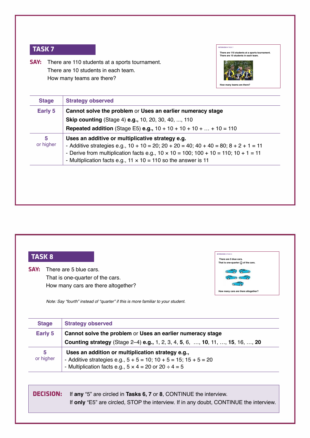**Say:** There are 110 students at a sports tournament. There are 10 students in each team. How many teams are there?



IntervIew 4 **taSk 8 There are 5 blue cars.** That is one-quarter  $\left(\frac{1}{4}\right)$  of the cars.

cars are there altogether?

| Early 5        | Cannot solve the problem or Uses an earlier numeracy stage                                                                                                                                                                                                                                                                       |
|----------------|----------------------------------------------------------------------------------------------------------------------------------------------------------------------------------------------------------------------------------------------------------------------------------------------------------------------------------|
|                | <b>Skip counting (Stage 4) e.g., 10, 20, 30, 40, , 110</b>                                                                                                                                                                                                                                                                       |
|                | <b>Repeated addition</b> (Stage E5) <b>e.g.</b> , $10 + 10 + 10 + 10 +  + 10 = 110$                                                                                                                                                                                                                                              |
| 5<br>or higher | Uses an additive or multiplicative strategy e.g.<br>- Additive strategies e.g., $10 + 10 = 20$ ; $20 + 20 = 40$ ; $40 + 40 = 80$ ; $8 + 2 + 1 = 11$<br>- Derive from multiplication facts e.g., $10 \times 10 = 100$ ; $100 + 10 = 110$ ; $10 + 1 = 11$<br>- Multiplication facts e.g., $11 \times 10 = 110$ so the answer is 11 |

#### **taSk 8**

**SAY:** There are 5 blue cars. That is one-quarter of the cars. How many cars are there altogether?

*Note: Say "fourth" instead of "quarter" if this is more familiar to your student.*

| <b>Stage</b>   | <b>Strategy observed</b>                                                                     |
|----------------|----------------------------------------------------------------------------------------------|
| Early 5        | Cannot solve the problem or Uses an earlier numeracy stage                                   |
|                | <b>Counting strategy</b> (Stage 2–4) <b>e.g.,</b> 1, 2, 3, 4, 5, 6, , 10, 11, , 15, 16, , 20 |
| 5<br>or higher | Uses an addition or multiplication strategy e.g.,                                            |
|                | - Additive strategies e.g., $5 + 5 = 10$ ; $10 + 5 = 15$ ; $15 + 5 = 20$                     |
|                | - Multiplication facts e.g., $5 \times 4 = 20$ or $20 \div 4 = 5$                            |

**decISIon:** If **any** "5" are circled in **Tasks 6, 7** or **8**, CONTINUE the interview. If **only** "E5" are circled, STOP the interview. If in any doubt, CONTINUE the interview.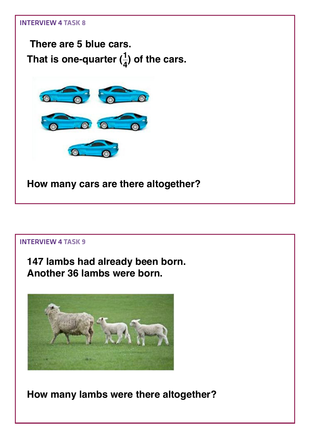

**147 lambs had already been born. Another 36 lambs were born.**



**How many lambs were there altogether?**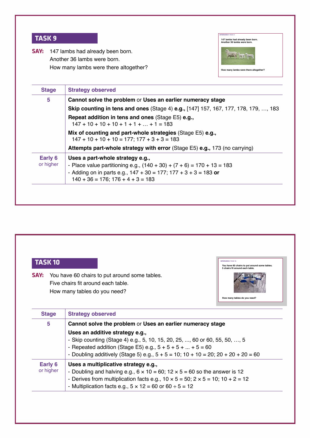| <b>INTERVIEW 4 TASK 9</b><br>147 lambs had already been born.<br>Another 36 lambs were born.                                                                                                                                   |
|--------------------------------------------------------------------------------------------------------------------------------------------------------------------------------------------------------------------------------|
| 147 lambs had already been born.<br>Another 36 lambs were born.<br>How many lambs were there altogether?<br>How many lambs were there altogether?                                                                              |
| <b>Strategy observed</b>                                                                                                                                                                                                       |
| Cannot solve the problem or Uses an earlier numeracy stage                                                                                                                                                                     |
| <b>Skip counting in tens and ones (Stage 4) e.g., [147] 157, 167, 177, 178, 179, , 183</b>                                                                                                                                     |
| <b>Repeat addition in tens and ones (Stage E5) e.g.,</b><br>$147 + 10 + 10 + 10 + 1 + 1 +  + 1 = 183$                                                                                                                          |
| Mix of counting and part-whole strategies (Stage E5) e.g.,<br>$147 + 10 + 10 + 10 = 177$ ; $177 + 3 + 3 = 183$                                                                                                                 |
| Attempts part-whole strategy with error (Stage E5) e.g., 173 (no carrying)                                                                                                                                                     |
| Uses a part-whole strategy e.g.,<br>- Place value partitioning e.g., $(140 + 30) + (7 + 6) = 170 + 13 = 183$<br>- Adding on in parts e.g., $147 + 30 = 177$ ; $177 + 3 + 3 = 183$ or<br>$140 + 36 = 176$ ; $176 + 4 + 3 = 183$ |
|                                                                                                                                                                                                                                |



**SAY:** You have 60 chairs to put around some tables. Five chairs fit around each table. How many tables do you need?



| <b>Stage</b> | <b>Strategy observed</b>                                                                         |
|--------------|--------------------------------------------------------------------------------------------------|
| 5            | Cannot solve the problem or Uses an earlier numeracy stage                                       |
|              | Uses an additive strategy e.g.,                                                                  |
|              | - Skip counting (Stage 4) e.g., 5, 10, 15, 20, 25, , 60 or 60, 55, 50, , 5                       |
|              | - Repeated addition (Stage E5) e.g., $5 + 5 + 5 +  + 5 = 60$                                     |
|              | - Doubling additively (Stage 5) e.g., $5 + 5 = 10$ ; $10 + 10 = 20$ ; $20 + 20 + 20 = 60$        |
| Early 6      | Uses a multiplicative strategy e.g.,                                                             |
| or higher    | - Doubling and halving e.g., $6 \times 10 = 60$ ; $12 \times 5 = 60$ so the answer is 12         |
|              | - Derives from multiplication facts e.g., $10 \times 5 = 50$ ; $2 \times 5 = 10$ ; $10 + 2 = 12$ |
|              | - Multiplication facts e.g., $5 \times 12 = 60$ or $60 \div 5 = 12$                              |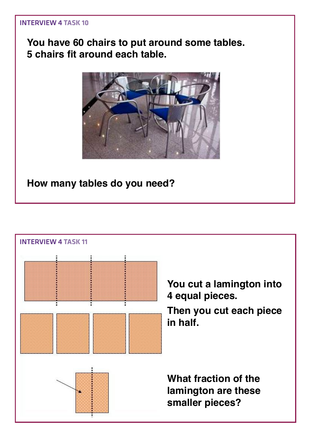#### **You have 60 chairs to put around some tables. 5 chairs fit around each table.**



**How many tables do you need?**

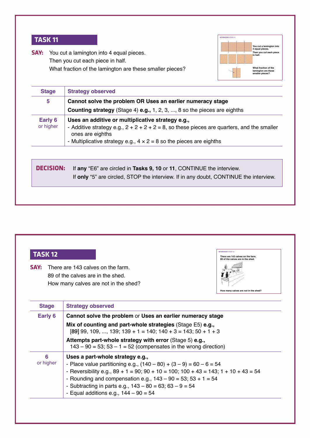

**SAY:** You cut a lamington into 4 equal pieces. Then you cut each piece in half. What fraction of the lamington are these smaller pieces?

| Cannot solve the problem OR Uses an earlier numeracy stage<br><b>Counting strategy</b> (Stage 4) <b>e.g.,</b> 1, 2, 3, , 8 so the pieces are eighths |
|------------------------------------------------------------------------------------------------------------------------------------------------------|
|                                                                                                                                                      |
|                                                                                                                                                      |
| Uses an additive or multiplicative strategy e.g.,                                                                                                    |
| - Additive strategy e.g., $2 + 2 + 2 + 2 = 8$ , so these pieces are quarters, and the smaller<br>ones are eighths                                    |
| - Multiplicative strategy e.g., $4 \times 2 = 8$ so the pieces are eighths                                                                           |
| If any "E6" are circled in Tasks 9, 10 or 11, CONTINUE the interview.                                                                                |
| If only "5" are circled, STOP the interview. If in any doubt, CONTINUE the interview.                                                                |
|                                                                                                                                                      |

#### **taSk 12**

**Say:** There are 143 calves on the farm. 89 of the calves are in the shed. How many calves are not in the shed?

| <b>INTERVIEW 4 TASK 12</b>                                             |  |
|------------------------------------------------------------------------|--|
| There are 143 calves on the farm.<br>89 of the calves are in the shed. |  |
|                                                                        |  |
|                                                                        |  |
|                                                                        |  |
| How many calves are not in the shed?                                   |  |

| <b>Stage</b>   | <b>Strategy observed</b>                                                                                                                                                                                                                                                                                                                                                                   |
|----------------|--------------------------------------------------------------------------------------------------------------------------------------------------------------------------------------------------------------------------------------------------------------------------------------------------------------------------------------------------------------------------------------------|
| Early 6        | Cannot solve the problem or Uses an earlier numeracy stage                                                                                                                                                                                                                                                                                                                                 |
|                | Mix of counting and part-whole strategies (Stage E5) e.g.,<br>$[89]$ 99, 109, , 139; 139 + 1 = 140; 140 + 3 = 143; 50 + 1 + 3                                                                                                                                                                                                                                                              |
|                | Attempts part-whole strategy with error (Stage 5) e.g.,<br>$143 - 90 = 53$ ; 53 - 1 = 52 (compensates in the wrong direction)                                                                                                                                                                                                                                                              |
| 6<br>or higher | Uses a part-whole strategy e.g.,<br>- Place value partitioning e.g., $(140 - 80) + (3 - 9) = 60 - 6 = 54$<br>- Reversibility e.g., $89 + 1 = 90$ ; $90 + 10 = 100$ ; $100 + 43 = 143$ ; $1 + 10 + 43 = 54$<br>- Rounding and compensation e.g., $143 - 90 = 53$ ; $53 + 1 = 54$<br>- Subtracting in parts e.g., $143 - 80 = 63$ ; $63 - 9 = 54$<br>- Equal additions e.g., $144 - 90 = 54$ |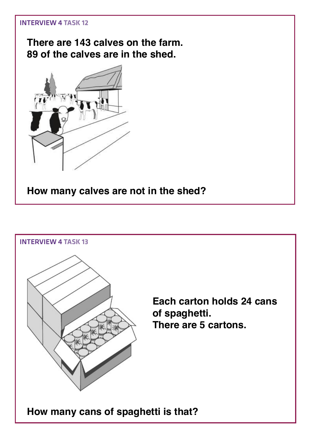**There are 143 calves on the farm. 89 of the calves are in the shed.**



**How many calves are not in the shed?**

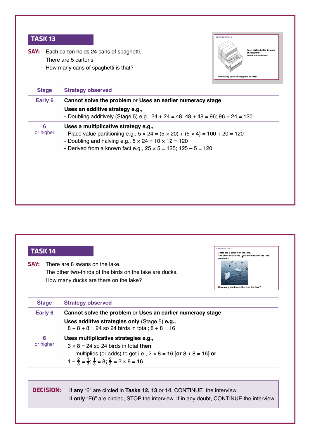**Say:** Each carton holds 24 cans of spaghetti. There are 5 cartons. How many cans of spaghetti is that?

> 3 2

3 2

 $1-\frac{2}{3}=\frac{1}{3}; \frac{1}{3}=8; \frac{2}{3}=2\times8=16$ 



| Early 6   | Cannot solve the problem or Uses an earlier numeracy stage                                     |
|-----------|------------------------------------------------------------------------------------------------|
|           |                                                                                                |
|           | Uses an additive strategy e.g.,                                                                |
|           | - Doubling additively (Stage 5) e.g., $24 + 24 = 48$ ; $48 + 48 = 96$ ; $96 + 24 = 120$        |
| 6         | Uses a multiplicative strategy e.g.,                                                           |
| or higher | - Place value partitioning e.g., $5 \times 24 = (5 \times 20) + (5 \times 4) = 100 + 20 = 120$ |
|           | - Doubling and halving e.g., $5 \times 24 = 10 \times 12 = 120$                                |
|           | - Derived from a known fact e.g., $25 \times 5 = 125$ ; $125 - 5 = 120$                        |

| <b>TASK 14</b> |                                                                                                                                     | INTERVIEW 4 TASK 1<br>There are 8 swans on the lake.<br>The other two-thirds $(2)$ of the birds on the lake<br>are ducks. |
|----------------|-------------------------------------------------------------------------------------------------------------------------------------|---------------------------------------------------------------------------------------------------------------------------|
| SAY:           | There are 8 swans on the lake.<br>The other two-thirds of the birds on the lake are ducks.<br>How many ducks are there on the lake? | How many ducks are there on the lake?                                                                                     |
| <b>Stage</b>   | <b>Strategy observed</b>                                                                                                            |                                                                                                                           |
| Early 6        | Cannot solve the problem or Uses an earlier numeracy stage                                                                          |                                                                                                                           |
|                | Uses additive strategies only (Stage 5) e.g.,<br>$8 + 8 + 8 = 24$ so 24 birds in total; $8 + 8 = 16$                                |                                                                                                                           |
| 6              | Uses multiplicative strategies e.g.,                                                                                                |                                                                                                                           |

**decISIon:** If **any** "6" are circled in **Tasks 12, 13** or **14**, CONTINUE the interview. If **only** "E6" are circled, STOP the interview. If in any doubt, CONTINUE the interview.

multiplies (or adds) to get i.e., 2 × 8 = 16 [**or** 8 + 8 = 16] **or**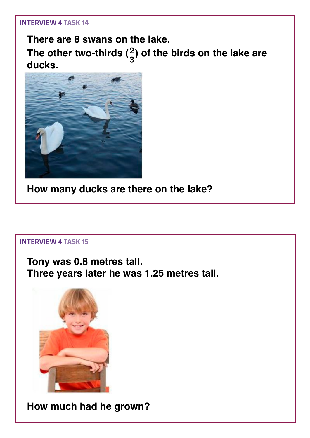**There are 8 swans on the lake. The other two-thirds (<sup>3</sup> <sup>2</sup>) of the birds on the lake are ducks.**



**How many ducks are there on the lake?**

#### Interview 4 **Task 15**

**Tony was 0.8 metres tall. Three years later he was 1.25 metres tall.**



**How much had he grown?**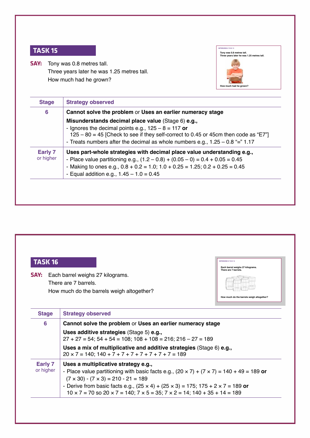**SAY:** Tony was 0.8 metres tall. Three years later he was 1.25 metres tall. How much had he grown?



IntervIew 4 **taSk 16**

**Each barrel weighs 27 kilograms. There are 7 barrels.** 

**How much do the barrels weigh altogether?**

| $6\phantom{1}6$      | Cannot solve the problem or Uses an earlier numeracy stage                                                                                                                                                                                                                                       |
|----------------------|--------------------------------------------------------------------------------------------------------------------------------------------------------------------------------------------------------------------------------------------------------------------------------------------------|
|                      | Misunderstands decimal place value (Stage 6) e.g.,<br>- Ignores the decimal points e.g., $125 - 8 = 117$ or<br>$125 - 80 = 45$ [Check to see if they self-correct to 0.45 or 45cm then code as "E7"]<br>- Treats numbers after the decimal as whole numbers e.g., $1.25 - 0.8$ "=" $1.17$        |
| Early 7<br>or higher | Uses part-whole strategies with decimal place value understanding e.g.,<br>- Place value partitioning e.g., $(1.2 - 0.8) + (0.05 - 0) = 0.4 + 0.05 = 0.45$<br>- Making to ones e.g., $0.8 + 0.2 = 1.0$ ; $1.0 + 0.25 = 1.25$ ; $0.2 + 0.25 = 0.45$<br>- Equal addition e.g., $1.45 - 1.0 = 0.45$ |

#### **taSk 16**

**SAY:** Each barrel weighs 27 kilograms. There are 7 barrels. How much do the barrels weigh altogether?

| <b>Stage</b>         | <b>Strategy observed</b>                                                                                                                                                                                                                                                                                                                                                                                            |
|----------------------|---------------------------------------------------------------------------------------------------------------------------------------------------------------------------------------------------------------------------------------------------------------------------------------------------------------------------------------------------------------------------------------------------------------------|
| $6\phantom{1}6$      | Cannot solve the problem or Uses an earlier numeracy stage                                                                                                                                                                                                                                                                                                                                                          |
|                      | Uses additive strategies (Stage 5) e.g.,<br>$27 + 27 = 54$ ; $54 + 54 = 108$ ; $108 + 108 = 216$ ; $216 - 27 = 189$                                                                                                                                                                                                                                                                                                 |
|                      | Uses a mix of multiplicative and additive strategies (Stage 6) e.g.,<br>$20 \times 7 = 140$ ; $140 + 7 + 7 + 7 + 7 + 7 + 7 + 7 = 189$                                                                                                                                                                                                                                                                               |
| Early 7<br>or higher | Uses a multiplicative strategy e.g.,<br>- Place value partitioning with basic facts e.g., $(20 \times 7) + (7 \times 7) = 140 + 49 = 189$ or<br>$(7 \times 30) - (7 \times 3) = 210 - 21 = 189$<br>- Derive from basic facts e.g., $(25 \times 4) + (25 \times 3) = 175$ ; 175 + 2 $\times$ 7 = 189 or<br>$10 \times 7 = 70$ so $20 \times 7 = 140$ ; $7 \times 5 = 35$ ; $7 \times 2 = 14$ ; $140 + 35 + 14 = 189$ |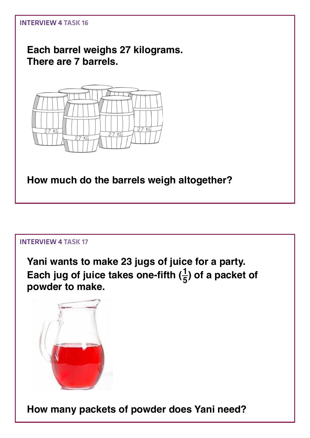

**Each barrel weighs 27 kilograms. There are 7 barrels.** 



**How much do the barrels weigh altogether?**

#### Interview 4 **Task 17**

**Yani wants to make 23 jugs of juice for a party.**  Each jug of juice takes one-fifth  $(\frac{1}{5})$  of a packet of **powder to make.** 



**How many packets of powder does Yani need?**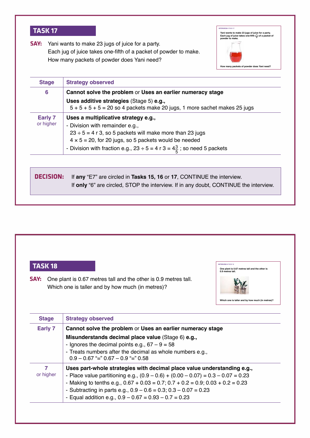**Say:** Yani wants to make 23 jugs of juice for a party. Each jug of juice takes one-fifth of a packet of powder to make. How many packets of powder does Yani need?



| <b>Stage</b>                | <b>Strategy observed</b>                                                                                                                                                                                                                                                                             |  |
|-----------------------------|------------------------------------------------------------------------------------------------------------------------------------------------------------------------------------------------------------------------------------------------------------------------------------------------------|--|
| 6                           | Cannot solve the problem or Uses an earlier numeracy stage                                                                                                                                                                                                                                           |  |
|                             | Uses additive strategies (Stage 5) e.g.,<br>$5 + 5 + 5 + 5 = 20$ so 4 packets make 20 jugs, 1 more sachet makes 25 jugs                                                                                                                                                                              |  |
| <b>Early 7</b><br>or higher | Uses a multiplicative strategy e.g.,<br>- Division with remainder e.g.,<br>$23 \div 5 = 4$ r 3, so 5 packets will make more than 23 jugs<br>$4 \times 5 = 20$ , for 20 jugs, so 5 packets would be needed<br>- Division with fraction e.g., 23 $\div$ 5 = 4 r 3 = $4\frac{3}{5}$ ; so need 5 packets |  |
| DECISION:                   | If any "E7" are circled in Tasks 15, 16 or 17, CONTINUE the interview.                                                                                                                                                                                                                               |  |
|                             | If only "6" are circled, STOP the interview. If in any doubt, CONTINUE the interview.                                                                                                                                                                                                                |  |



- Equal addition e.g.,  $0.9 - 0.67 = 0.93 - 0.7 = 0.23$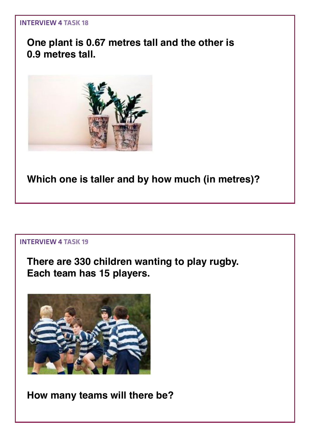#### **One plant is 0.67 metres tall and the other is 0.9 metres tall.**



**Which one is taller and by how much (in metres)?**

#### Interview 4 **Task 19**

**There are 330 children wanting to play rugby. Each team has 15 players.**



**How many teams will there be?**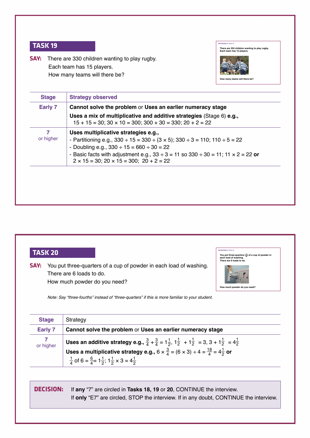**Say:** There are 330 children wanting to play rugby. Each team has 15 players. How many teams will there be?



| Early 7        | Cannot solve the problem or Uses an earlier numeracy stage<br>Uses a mix of multiplicative and additive strategies (Stage 6) e.g.,<br>$15 + 15 = 30$ ; $30 \times 10 = 300$ ; $300 + 30 = 330$ ; $20 + 2 = 22$                                                                                                                                                      |
|----------------|---------------------------------------------------------------------------------------------------------------------------------------------------------------------------------------------------------------------------------------------------------------------------------------------------------------------------------------------------------------------|
| 7<br>or higher | Uses multiplicative strategies e.g.,<br>- Partitioning e.g., $330 \div 15 = 330 \div (3 \times 5)$ ; $330 \div 3 = 110$ ; $110 \div 5 = 22$<br>- Doubling e.g., $330 \div 15 = 660 \div 30 = 22$<br>- Basic facts with adjustment e.g., $33 \div 3 = 11$ so $330 \div 30 = 11$ ; $11 \times 2 = 22$ or<br>$2 \times 15 = 30$ ; $20 \times 15 = 300$ ; $20 + 2 = 22$ |



| <b>Stage</b>   | Strategy                                                                                                                                                                                                                                                                                                                                                                 |
|----------------|--------------------------------------------------------------------------------------------------------------------------------------------------------------------------------------------------------------------------------------------------------------------------------------------------------------------------------------------------------------------------|
| <b>Early 7</b> | Cannot solve the problem or Uses an earlier numeracy stage                                                                                                                                                                                                                                                                                                               |
| 7<br>or higher | Uses an additive strategy e.g., $\frac{3}{4} + \frac{3}{4} = 1\frac{1}{2}$ , $1\frac{1}{2} + 1\frac{1}{2} = 3$ , $3 + 1\frac{1}{2} = 4\frac{1}{2}$<br>Uses a multiplicative strategy e.g., $6 \times \frac{3}{4} = (6 \times 3) \div 4 = \frac{18}{4} = 4\frac{1}{2}$ or<br>$\frac{1}{4}$ of 6 = $\frac{6}{4}$ = 1 $\frac{1}{2}$ ; 1 $\frac{1}{2}$ × 3 = 4 $\frac{1}{2}$ |

**decISIon:** If **any** "7" are circled in **Tasks 18, 19** or **20**, CONTINUE the interview. If **only** "E7" are circled, STOP the interview. If in any doubt, CONTINUE the interview.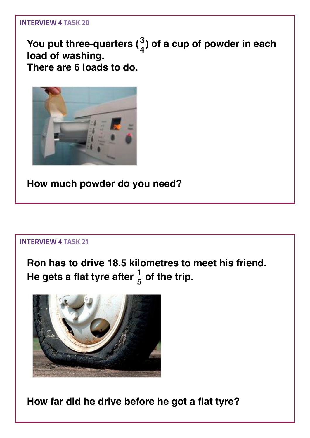**You put three-quarters (<sup>4</sup> <sup>3</sup>) of a cup of powder in each load of washing. There are 6 loads to do.** 



**How much powder do you need?**

#### Interview 4 **Task 21**

**Ron has to drive 18.5 kilometres to meet his friend.**  He gets a flat tyre after  $\frac{1}{5}$  of the trip.



**How far did he drive before he got a flat tyre?**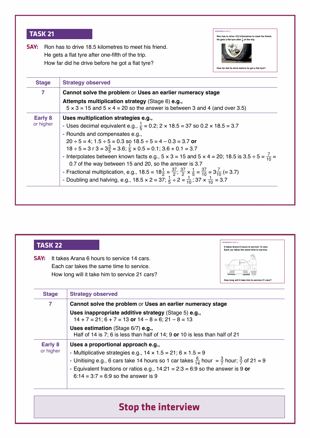**SAY:** Ron has to drive 18.5 kilometres to meet his friend. He gets a flat tyre after one-fifth of the trip. How far did he drive before he got a flat tyre?



| 7                           | Cannot solve the problem or Uses an earlier numeracy stage                                                                                                                                                                                                                                                                                                                                                                                                                                                                                                                                                                                                                                                                                                                                                       |  |
|-----------------------------|------------------------------------------------------------------------------------------------------------------------------------------------------------------------------------------------------------------------------------------------------------------------------------------------------------------------------------------------------------------------------------------------------------------------------------------------------------------------------------------------------------------------------------------------------------------------------------------------------------------------------------------------------------------------------------------------------------------------------------------------------------------------------------------------------------------|--|
|                             | Attempts multiplication strategy (Stage 6) e.g.,<br>$5 \times 3 = 15$ and $5 \times 4 = 20$ so the answer is between 3 and 4 (and over 3.5)                                                                                                                                                                                                                                                                                                                                                                                                                                                                                                                                                                                                                                                                      |  |
| <b>Early 8</b><br>or higher | Uses multiplication strategies e.g.,<br>- Uses decimal equivalent e.g., $\frac{1}{5}$ = 0.2; 2 x 18.5 = 37 so 0.2 x 18.5 = 3.7<br>- Rounds and compensates e.g.,<br>$20 \div 5 = 4$ ; $1.5 \div 5 = 0.3$ so $18.5 \div 5 = 4 - 0.3 = 3.7$ or<br>$18 \div 5 = 3$ r $3 = 3\frac{3}{5} = 3.6$ ; $\frac{1}{5} \times 0.5 = 0.1$ ; $3.6 + 0.1 = 3.7$<br>- Interpolates between known facts e.g., $5 \times 3 = 15$ and $5 \times 4 = 20$ ; 18.5 is $3.5 \div 5 = \frac{7}{10}$<br>0.7 of the way between 15 and 20, so the answer is 3.7<br>- Fractional multiplication, e.g., 18.5 = $18\frac{1}{2} = \frac{37}{2}$ ; $\frac{37}{2} \times \frac{1}{5} = \frac{37}{10} = 3\frac{7}{10} = 3.7$ )<br>- Doubling and halving, e.g., 18.5 x 2 = $37; \frac{1}{5} \div 2 = \frac{1}{10}$ , $37 \times \frac{1}{10} = 3.7$ |  |

| TASK 22              |                                                                                                                                                                                                                                                                                                                                  | <b>INTERVIEW 4 TASK 22</b><br>It takes Arana 6 hours to service 14 cars.<br>Each car takes the same time to service. |
|----------------------|----------------------------------------------------------------------------------------------------------------------------------------------------------------------------------------------------------------------------------------------------------------------------------------------------------------------------------|----------------------------------------------------------------------------------------------------------------------|
| SAY:                 | It takes Arana 6 hours to service 14 cars.<br>Each car takes the same time to service.<br>How long will it take him to service 21 cars?                                                                                                                                                                                          | How long will it take him to service 21 cars?                                                                        |
| <b>Stage</b>         | <b>Strategy observed</b>                                                                                                                                                                                                                                                                                                         |                                                                                                                      |
| 7                    | Cannot solve the problem or Uses an earlier numeracy stage                                                                                                                                                                                                                                                                       |                                                                                                                      |
|                      | Uses inappropriate additive strategy (Stage 5) e.g.,<br>$14 + 7 = 21$ ; $6 + 7 = 13$ or $14 - 8 = 6$ ; $21 - 8 = 13$                                                                                                                                                                                                             |                                                                                                                      |
|                      | Uses estimation (Stage 6/7) e.g.,<br>Half of 14 is 7; 6 is less than half of 14; 9 or 10 is less than half of 21                                                                                                                                                                                                                 |                                                                                                                      |
| Early 8<br>or higher | Uses a proportional approach e.g.,<br>- Multiplicative strategies e.g., $14 \times 1.5 = 21$ ; $6 \times 1.5 = 9$<br>- Unitising e.g., 6 cars take 14 hours so 1 car takes $\frac{6}{14}$ hour = $\frac{3}{7}$ hour; $\frac{3}{7}$ of 21 = 9<br>- Equivalent fractions or ratios e.g., $14:21 = 2:3 = 6:9$ so the answer is 9 or |                                                                                                                      |
|                      | $6:14 = 3:7 = 6:9$ so the answer is 9                                                                                                                                                                                                                                                                                            |                                                                                                                      |

### **Stop the interview**